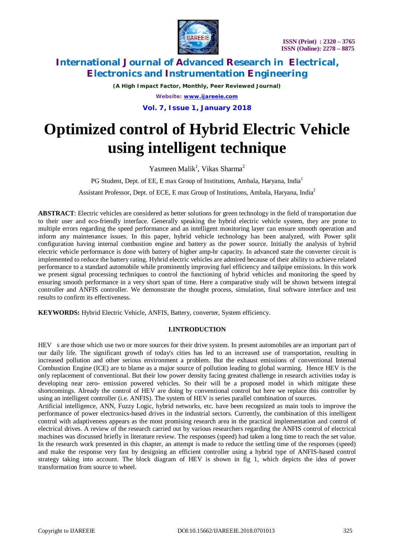

*(A High Impact Factor, Monthly, Peer Reviewed Journal) Website: [www.ijareeie.com](http://www.ijareeie.com)*

**Vol. 7, Issue 1, January 2018**

# **Optimized control of Hybrid Electric Vehicle using intelligent technique**

Yasmeen Malik<sup>1</sup>, Vikas Sharma<sup>2</sup>

PG Student, Dept. of EE, E max Group of Institutions, Ambala, Haryana, India<sup>1</sup>

Assistant Professor, Dept. of ECE, E max Group of Institutions, Ambala, Haryana, India<sup>2</sup>

**ABSTRACT**: Electric vehicles are considered as better solutions for green technology in the field of transportation due to their user and eco-friendly interface. Generally speaking the hybrid electric vehicle system, they are prone to multiple errors regarding the speed performance and an intelligent monitoring layer can ensure smooth operation and inform any maintenance issues. In this paper, hybrid vehicle technology has been analyzed, with Power split configuration having internal combustion engine and battery as the power source. Initially the analysis of hybrid electric vehicle performance is done with battery of higher amp-hr capacity. In advanced state the converter circuit is implemented to reduce the battery rating. Hybrid electric vehicles are admired because of their ability to achieve related performance to a standard automobile while prominently improving fuel efficiency and tailpipe emissions. In this work we present signal processing techniques to control the functioning of hybrid vehicles and monitoring the speed by ensuring smooth performance in a very short span of time. Here a comparative study will be shown between integral controller and ANFIS controller. We demonstrate the thought process, simulation, final software interface and test results to confirm its effectiveness.

**KEYWORDS:** Hybrid Electric Vehicle, ANFIS, Battery, converter, System efficiency.

### **I.INTRODUCTION**

HEV s are those which use two or more sources for their drive system. In present automobiles are an important part of our daily life. The significant growth of today's cities has led to an increased use of transportation, resulting in increased pollution and other serious environment a problem. But the exhaust emissions of conventional Internal Combustion Engine (ICE) are to blame as a major source of pollution leading to global warming. Hence HEV is the only replacement of conventional. But their low power density facing greatest challenge in research activities today is developing near zero- emission powered vehicles. So their will be a proposed model in which mitigate these shortcomings. Already the control of HEV are doing by conventional control but here we replace this controller by using an intelligent controller (i.e. ANFIS). The system of HEV is series parallel combination of sources.

Artificial intelligence, ANN, Fuzzy Logic, hybrid networks, etc. have been recognized as main tools to improve the performance of power electronics-based drives in the industrial sectors. Currently, the combination of this intelligent control with adaptiveness appears as the most promising research area in the practical implementation and control of electrical drives. A review of the research carried out by various researchers regarding the ANFIS control of electrical machines was discussed briefly in literature review. The responses (speed) had taken a long time to reach the set value. In the research work presented in this chapter, an attempt is made to reduce the settling time of the responses (speed) and make the response very fast by designing an efficient controller using a hybrid type of ANFIS-based control strategy taking into account. The block diagram of HEV is shown in fig 1, which depicts the idea of power transformation from source to wheel.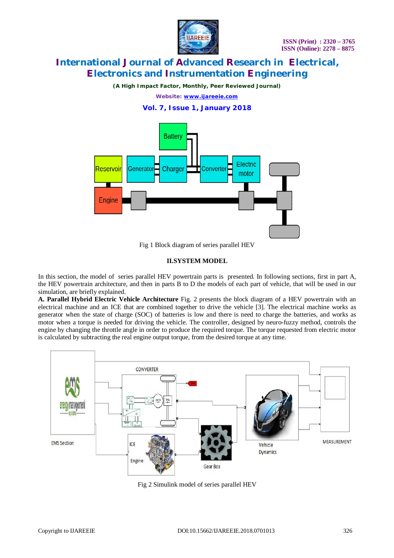

*(A High Impact Factor, Monthly, Peer Reviewed Journal)*

*Website: [www.ijareeie.com](http://www.ijareeie.com)*

### **Vol. 7, Issue 1, January 2018**



Fig 1 Block diagram of series parallel HEV

### **II.SYSTEM MODEL**

In this section, the model of series parallel HEV powertrain parts is presented. In following sections, first in part A, the HEV powertrain architecture, and then in parts B to D the models of each part of vehicle, that will be used in our simulation, are briefly explained.

**A. Parallel Hybrid Electric Vehicle Architecture** Fig. 2 presents the block diagram of a HEV powertrain with an electrical machine and an ICE that are combined together to drive the vehicle [3]. The electrical machine works as generator when the state of charge (SOC) of batteries is low and there is need to charge the batteries, and works as motor when a torque is needed for driving the vehicle. The controller, designed by neuro-fuzzy method, controls the engine by changing the throttle angle in order to produce the required torque. The torque requested from electric motor is calculated by subtracting the real engine output torque, from the desired torque at any time.



Fig 2 Simulink model of series parallel HEV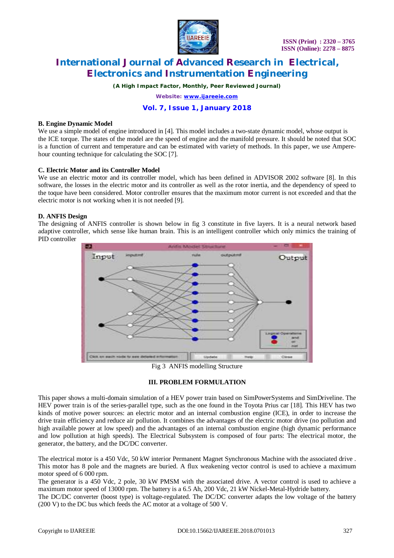

*(A High Impact Factor, Monthly, Peer Reviewed Journal)*

*Website: [www.ijareeie.com](http://www.ijareeie.com)*

### **Vol. 7, Issue 1, January 2018**

#### **B. Engine Dynamic Model**

We use a simple model of engine introduced in [4]. This model includes a two-state dynamic model, whose output is the ICE torque. The states of the model are the speed of engine and the manifold pressure. It should be noted that SOC is a function of current and temperature and can be estimated with variety of methods. In this paper, we use Amperehour counting technique for calculating the SOC [7].

#### **C. Electric Motor and its Controller Model**

We use an electric motor and its controller model, which has been defined in ADVISOR 2002 software [8]. In this software, the losses in the electric motor and its controller as well as the rotor inertia, and the dependency of speed to the toque have been considered. Motor controller ensures that the maximum motor current is not exceeded and that the electric motor is not working when it is not needed [9].

#### **D. ANFIS Design**

The designing of ANFIS controller is shown below in fig 3 constitute in five layers. It is a neural network based adaptive controller, which sense like human brain. This is an intelligent controller which only mimics the training of PID controller



Fig 3 ANFIS modelling Structure

#### **III. PROBLEM FORMULATION**

This paper shows a multi-domain simulation of a HEV power train based on SimPowerSystems and SimDriveline. The HEV power train is of the series-parallel type, such as the one found in the Toyota Prius car [18]. This HEV has two kinds of motive power sources: an electric motor and an internal combustion engine (ICE), in order to increase the drive train efficiency and reduce air pollution. It combines the advantages of the electric motor drive (no pollution and high available power at low speed) and the advantages of an internal combustion engine (high dynamic performance and low pollution at high speeds). The Electrical Subsystem is composed of four parts: The electrical motor, the generator, the battery, and the DC/DC converter.

The electrical motor is a 450 Vdc, 50 kW interior Permanent Magnet Synchronous Machine with the associated drive . This motor has 8 pole and the magnets are buried. A flux weakening vector control is used to achieve a maximum motor speed of 6 000 rpm.

The generator is a 450 Vdc, 2 pole, 30 kW PMSM with the associated drive. A vector control is used to achieve a maximum motor speed of 13000 rpm. The battery is a 6.5 Ah, 200 Vdc, 21 kW Nickel-Metal-Hydride battery.

The DC/DC converter (boost type) is voltage-regulated. The DC/DC converter adapts the low voltage of the battery (200 V) to the DC bus which feeds the AC motor at a voltage of 500 V.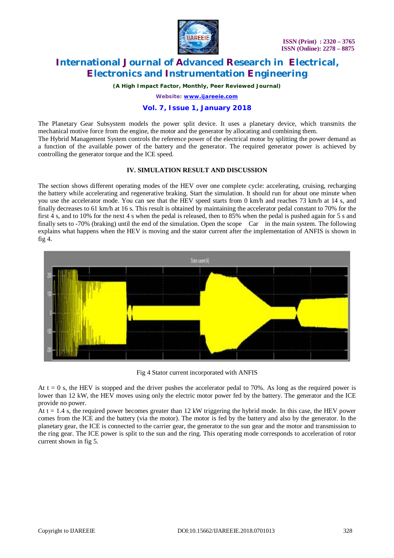

*(A High Impact Factor, Monthly, Peer Reviewed Journal)*

*Website: [www.ijareeie.com](http://www.ijareeie.com)*

### **Vol. 7, Issue 1, January 2018**

The Planetary Gear Subsystem models the power split device. It uses a planetary device, which transmits the mechanical motive force from the engine, the motor and the generator by allocating and combining them. The Hybrid Management System controls the reference power of the electrical motor by splitting the power demand as a function of the available power of the battery and the generator. The required generator power is achieved by controlling the generator torque and the ICE speed.

#### **IV. SIMULATION RESULT AND DISCUSSION**

The section shows different operating modes of the HEV over one complete cycle: accelerating, cruising, recharging the battery while accelerating and regenerative braking. Start the simulation. It should run for about one minute when you use the accelerator mode. You can see that the HEV speed starts from 0 km/h and reaches 73 km/h at 14 s, and finally decreases to 61 km/h at 16 s. This result is obtained by maintaining the accelerator pedal constant to 70% for the first 4 s, and to 10% for the next 4 s when the pedal is released, then to 85% when the pedal is pushed again for 5 s and finally sets to -70% (braking) until the end of the simulation. Open the scope Car in the main system. The following explains what happens when the HEV is moving and the stator current after the implementation of ANFIS is shown in fig 4.



Fig 4 Stator current incorporated with ANFIS

At  $t = 0$  s, the HEV is stopped and the driver pushes the accelerator pedal to 70%. As long as the required power is lower than 12 kW, the HEV moves using only the electric motor power fed by the battery. The generator and the ICE provide no power.

At  $t = 1.4$  s, the required power becomes greater than 12 kW triggering the hybrid mode. In this case, the HEV power comes from the ICE and the battery (via the motor). The motor is fed by the battery and also by the generator. In the planetary gear, the ICE is connected to the carrier gear, the generator to the sun gear and the motor and transmission to the ring gear. The ICE power is split to the sun and the ring. This operating mode corresponds to acceleration of rotor current shown in fig 5.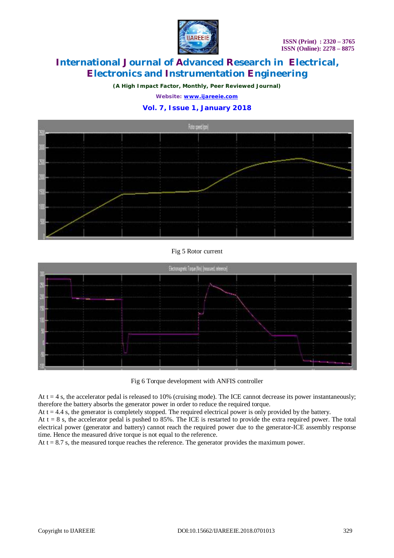

*(A High Impact Factor, Monthly, Peer Reviewed Journal)*

*Website: [www.ijareeie.com](http://www.ijareeie.com)*

### **Vol. 7, Issue 1, January 2018**



#### Fig 5 Rotor current



Fig 6 Torque development with ANFIS controller

At  $t = 4$  s, the accelerator pedal is released to 10% (cruising mode). The ICE cannot decrease its power instantaneously; therefore the battery absorbs the generator power in order to reduce the required torque.

At  $t = 4.4$  s, the generator is completely stopped. The required electrical power is only provided by the battery.

At  $t = 8$  s, the accelerator pedal is pushed to 85%. The ICE is restarted to provide the extra required power. The total electrical power (generator and battery) cannot reach the required power due to the generator-ICE assembly response time. Hence the measured drive torque is not equal to the reference.

At  $t = 8.7$  s, the measured torque reaches the reference. The generator provides the maximum power.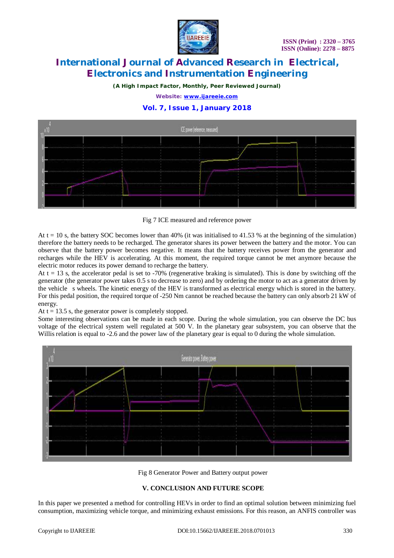

*(A High Impact Factor, Monthly, Peer Reviewed Journal)*

*Website: [www.ijareeie.com](http://www.ijareeie.com)*

### **Vol. 7, Issue 1, January 2018**



Fig 7 ICE measured and reference power

At  $t = 10$  s, the battery SOC becomes lower than 40% (it was initialised to 41.53 % at the beginning of the simulation) therefore the battery needs to be recharged. The generator shares its power between the battery and the motor. You can observe that the battery power becomes negative. It means that the battery receives power from the generator and recharges while the HEV is accelerating. At this moment, the required torque cannot be met anymore because the electric motor reduces its power demand to recharge the battery.

At  $t = 13$  s, the accelerator pedal is set to -70% (regenerative braking is simulated). This is done by switching off the generator (the generator power takes 0.5 s to decrease to zero) and by ordering the motor to act as a generator driven by the vehicle s wheels. The kinetic energy of the HEV is transformed as electrical energy which is stored in the battery. For this pedal position, the required torque of -250 Nm cannot be reached because the battery can only absorb 21 kW of energy.

At  $t = 13.5$  s, the generator power is completely stopped.

Some interesting observations can be made in each scope. During the whole simulation, you can observe the DC bus voltage of the electrical system well regulated at 500 V. In the planetary gear subsystem, you can observe that the Willis relation is equal to -2.6 and the power law of the planetary gear is equal to 0 during the whole simulation.



Fig 8 Generator Power and Battery output power

#### **V. CONCLUSION AND FUTURE SCOPE**

In this paper we presented a method for controlling HEVs in order to find an optimal solution between minimizing fuel consumption, maximizing vehicle torque, and minimizing exhaust emissions. For this reason, an ANFIS controller was